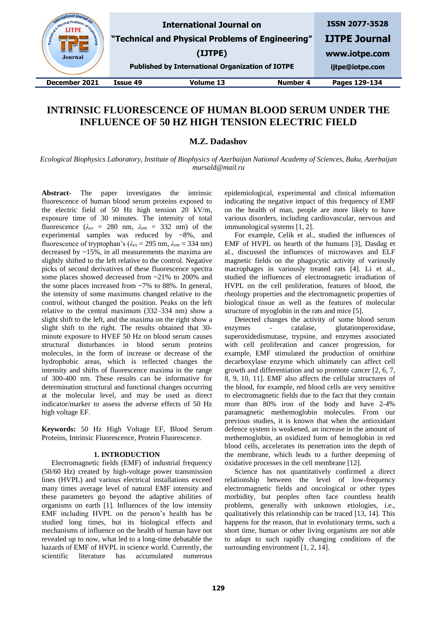| & Physical Pro-<br>Engineer<br><b>Journal</b> |          | <b>International Journal on</b><br>"Technical and Physical Problems of Engineering"<br>(IJTPE)<br><b>Published by International Organization of IOTPE</b> |          | <b>ISSN 2077-3528</b><br><b>IJTPE Journal</b><br>www.iotpe.com<br>ijtpe@iotpe.com |
|-----------------------------------------------|----------|-----------------------------------------------------------------------------------------------------------------------------------------------------------|----------|-----------------------------------------------------------------------------------|
| December 2021                                 | Issue 49 | Volume 13                                                                                                                                                 | Number 4 | Pages 129-134                                                                     |

# **INTRINSIC FLUORESCENCE OF HUMAN BLOOD SERUM UNDER THE INFLUENCE OF 50 HZ HIGH TENSION ELECTRIC FIELD**

# **M.Z. Dadashov**

*Ecological Biophysics Laboratory, Institute of Biophysics of Azerbaijan National Academy of Sciences, Baku, Azerbaijan mursald@mail.ru*

**Abstract-** The paper investigates the intrinsic fluorescence of human blood serum proteins exposed to the electric field of 50 Hz high tension 20 kV/m, exposure time of 30 minutes. The intensity of total fluorescence ( $\lambda_{ex}$  = 280 nm,  $\lambda_{em}$  = 332 nm) of the experimental samples was reduced by ~8%, and fluorescence of tryptophan's (*λex* = 295 nm, *λem* = 334 nm) decreased by ~15%, in all measurements the maxima are slightly shifted to the left relative to the control. Negative picks of second derivatives of these fluorescence spectra some places showed decreased from ~21% to 200% and the some places increased from ~7% to 88%. In general, the intensity of some maximums changed relative to the control, without changed the position. Peaks on the left relative to the central maximum (332–334 nm) show a slight shift to the left, and the maxima on the right show a slight shift to the right. The results obtained that 30 minute exposure to HVEF 50 Hz on blood serum causes structural disturbances in blood serum proteins molecules, in the form of increase or decrease of the hydrophobic areas, which is reflected changes the intensity and shifts of fluorescence maxima in the range of 300-400 nm. These results can be informative for determination structural and functional changes occurring at the molecular level, and may be used as direct indicator/marker to assess the adverse effects of 50 Hz high voltage EF.

**Keywords:** 50 Hz High Voltage EF, Blood Serum Proteins, Intrinsic Fluorescence, Protein Fluorescence.

### **1. INTRODUCTION**

Electromagnetic fields (EMF) of industrial frequency (50/60 Hz) created by high-voltage power transmission lines (HVPL) and various electrical installations exceed many times average level of natural EMF intensity and these parameters go beyond the adaptive abilities of organisms on earth [1]. Influences of the low intensity EMF including HVPL on the person's health has be studied long times, but its biological effects and mechanisms of influence on the health of human have not revealed up to now, what led to a long-time debatable the hazards of EMF of HVPL in science world. Currently, the scientific literature has accumulated numerous

epidemiological, experimental and clinical information indicating the negative impact of this frequency of EMF on the health of man, people are more likely to have various disorders, including cardiovascular, nervous and immunological systems [1, 2].

For example, Celik et al., studied the influences of EMF of HVPL on hearth of the humans [3], Dasdag et al., discussed the influences of microwaves and ELF magnetic fields on the phagocytic activity of variously macrophages in variously treated rats [4]. Li et al., studied the influences of electromagnetic irradiation of HVPL on the cell proliferation, features of blood, the rheology properties and the electromagnetic properties of biological tissue as well as the features of molecular structure of myoglobin in the rats and mice [5].

Detected changes the activity of some blood serum enzymes - catalase, glutationperoxidase, superoxidedismutase, trypsine, and enzymes associated with cell proliferation and cancer progression, for example, EMF stimulated the production of ornithine decarboxylase enzyme which ultimately can affect cell growth and differentiation and so promote cancer [2, 6, 7, 8, 9, 10, 11]. EMF also affects the cellular structures of the blood, for example, red blood cells are very sensitive to electromagnetic fields due to the fact that they contain more than 80% iron of the body and have 2-4% paramagnetic methemoglobin molecules. From our previous studies, it is known that when the antioxidant defence system is weakened, an increase in the amount of methemoglobin, an oxidized form of hemoglobin in red blood cells, accelerates its penetration into the depth of the membrane, which leads to a further deepening of oxidative processes in the cell membrane [12].

Science has not quantitatively confirmed a direct relationship between the level of low-frequency electromagnetic fields and oncological or other types morbidity, but peoples often face countless health problems, generally with unknown etiologies, i.e., qualitatively this relationship can be traced [13, 14]. This happens for the reason, that in evolutionary terms, such a short time, human or other living organisms are not able to adapt to such rapidly changing conditions of the surrounding environment [1, 2, 14].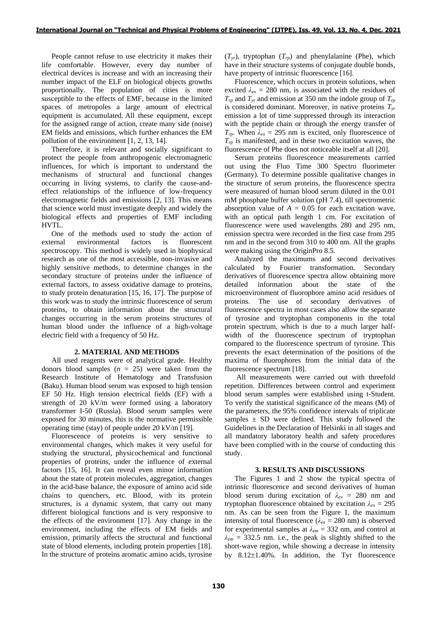People cannot refuse to use electricity it makes their life comfortable. However, every day number of electrical devices is increase and with an increasing their number impact of the ELF on biological objects growths proportionally. The population of cities is more susceptible to the effects of EMF, because in the limited spaces of metropoles a large amount of electrical equipment is accumulated. All these equipment, except for the assigned range of action, create many side (noise) EM fields and emissions, which further enhances the EM pollution of the environment [1, 2, 13, 14].

Therefore, it is relevant and socially significant to protect the people from anthropogenic electromagnetic influences, for which is important to understand the mechanisms of structural and functional changes occurring in living systems, to clarify the cause-andeffect relationships of the influence of low-frequency electromagnetic fields and emissions [2, 13]. This means that science world must investigate deeply and widely the biological effects and properties of EMF including HVTL.

One of the methods used to study the action of external environmental factors is fluorescent spectroscopy. This method is widely used in biophysical research as one of the most accessible, non-invasive and highly sensitive methods, to determine changes in the secondary structure of proteins under the influence of external factors, to assess oxidative damage to proteins, to study protein denaturation [15, 16, 17]. The purpose of this work was to study the intrinsic fluorescence of serum proteins, to obtain information about the structural changes occurring in the serum proteins structures of human blood under the influence of a high-voltage electric field with a frequency of 50 Hz.

#### **2. MATERIAL AND METHODS**

All used reagents were of analytical grade. Healthy donors blood samples  $(n = 25)$  were taken from the Research Institute of Hematology and Transfusion (Baku). Human blood serum was exposed to high tension EF 50 Hz. High tension electrical fields (EF) with a strength of 20 kV/m were formed using a laboratory transformer I-50 (Russia). Blood serum samples were exposed for 30 minutes, this is the normative permissible operating time (stay) of people under 20 kV/m [19].

Fluorescence of proteins is very sensitive to environmental changes, which makes it very useful for studying the structural, physicochemical and functional properties of proteins, under the influence of external factors [15, 16]. It can reveal even minor information about the state of protein molecules, aggregation, changes in the acid-base balance, the exposure of amino acid side chains to quenchers, etc. Blood, with its protein structures, is a dynamic system, that carry out many different biological functions and is very responsive to the effects of the environment [17]. Any change in the environment, including the effects of EM fields and emission, primarily affects the structural and functional state of blood elements, including protein properties [18]. In the structure of proteins aromatic amino acids, tyrosine  $(T_{vr})$ , tryptophan  $(T_{rp})$  and phenylalanine (Phe), which have in their structure systems of conjugate double bonds, have property of intrinsic fluorescence [16].

Fluorescence, which occurs in protein solutions, when excited  $\lambda_{ex} = 280$  nm, is associated with the residues of  $T_{rp}$  and  $T_{yr}$  and emission at 350 nm the indole group of  $T_{rp}$ is considered dominant. Moreover, in native proteins *Tyr* emission a lot of time suppressed through its interaction with the peptide chain or through the energy transfer of  $T_{rp}$ . When  $\lambda_{ex} = 295$  nm is excited, only fluorescence of  $T_{rp}$  is manifested, and in these two excitation waves, the fluorescence of Phe does not noticeable itself at all [20].

Serum proteins fluorescence measurements carried out using the Fluo Time 300 Spectro fluorimeter (Germany). To determine possible qualitative changes in the structure of serum proteins, the fluorescence spectra were measured of human blood serum diluted in the 0.01 mM phosphate buffer solution (pH 7.4), till spectrometric absorption value of  $A = 0.05$  for each excitation wave, with an optical path length 1 cm. For excitation of fluorescence were used wavelengths 280 and 295 nm, emission spectra were recorded in the first case from 295 nm and in the second from 310 to 400 nm. All the graphs were making using the OriginPro 8.5.

Analyzed the maximums and second derivatives calculated by Fourier transformation. Secondary derivatives of fluorescence spectra allow obtaining more detailed information about the state of the microenvironment of fluorophore amino acid residues of proteins. The use of secondary derivatives of fluorescence spectra in most cases also allow the separate of tyrosine and tryptophan components in the total protein spectrum, which is due to a much larger halfwidth of the fluorescence spectrum of tryptophan compared to the fluorescence spectrum of tyrosine. This prevents the exact determination of the positions of the maxima of fluorophores from the initial data of the fluorescence spectrum [18].

All measurements were carried out with threefold repetition. Differences between control and experiment blood serum samples were established using t-Student. To verify the statistical significance of the means (M) of the parameters, the 95% confidence intervals of triplicate samples  $\pm$  SD were defined. This study followed the Guidelines in the Declaration of Helsinki in all stages and all mandatory laboratory health and safety procedures have been complied with in the course of conducting this study.

#### **3. RESULTS AND DISCUSSIONS**

The Figures 1 and 2 show the typical spectra of intrinsic fluorescence and second derivatives of human blood serum during excitation of *λex* = 280 nm and tryptophan fluorescence obtained by excitation  $\lambda_{ex} = 295$ nm. As can be seen from the Figure 1, the maximum intensity of total fluorescence ( $\lambda_{ex}$  = 280 nm) is observed for experimental samples at  $\lambda_{em} = 332$  nm, and control at  $\lambda_{em}$  = 332.5 nm. i.e., the peak is slightly shifted to the short-wave region, while showing a decrease in intensity by  $8.12 \pm 1.40\%$ . In addition, the Tyr fluorescence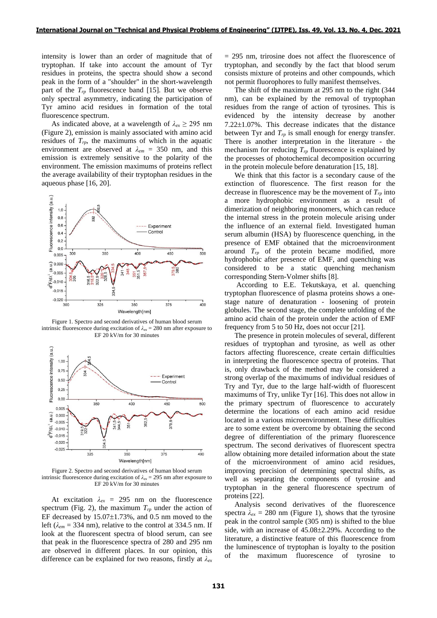intensity is lower than an order of magnitude that of tryptophan. If take into account the amount of Tyr residues in proteins, the spectra should show a second peak in the form of a "shoulder" in the short-wavelength part of the *Trp* fluorescence band [15]. But we observe only spectral asymmetry, indicating the participation of Tyr amino acid residues in formation of the total fluorescence spectrum.

As indicated above, at a wavelength of  $\lambda_{ex} \ge 295$  nm (Figure 2), emission is mainly associated with amino acid residues of  $T_p$ , the maximums of which in the aquatic environment are observed at *λem* = 350 nm, and this emission is extremely sensitive to the polarity of the environment. The emission maximums of proteins reflect the average availability of their tryptophan residues in the aqueous phase [16, 20].



Figure 1. Spectro and second derivatives of human blood serum intrinsic fluorescence during excitation of  $\lambda_{ex} = 280$  nm after exposure to EF 20 kV/m for 30 minutes



Figure 2. Spectro and second derivatives of human blood serum intrinsic fluorescence during excitation of  $\lambda_{ex} = 295$  nm after exposure to EF 20 kV/m for 30 minutes

At excitation  $\lambda_{ex} = 295$  nm on the fluorescence spectrum (Fig. 2), the maximum  $T_{rp}$  under the action of EF decreased by  $15.07 \pm 1.73$ %, and 0.5 nm moved to the left ( $\lambda_{em}$  = 334 nm), relative to the control at 334.5 nm. If look at the fluorescent spectra of blood serum, can see that peak in the fluorescence spectra of 280 and 295 nm are observed in different places. In our opinion, this difference can be explained for two reasons, firstly at *λex* = 295 nm, trirosine does not affect the fluorescence of tryptophan, and secondly by the fact that blood serum consists mixture of proteins and other compounds, which not permit fluorophores to fully manifest themselves.

The shift of the maximum at 295 nm to the right (344 nm), can be explained by the removal of tryptophan residues from the range of action of tyrosines. This is evidenced by the intensity decrease by another  $7.22 \pm 1.07$ %. This decrease indicates that the distance between Tyr and  $T_p$  is small enough for energy transfer. There is another interpretation in the literature - the mechanism for reducing *Trp* fluorescence is explained by the processes of photochemical decomposition occurring in the protein molecule before denaturation [15, 18].

We think that this factor is a secondary cause of the extinction of fluorescence. The first reason for the decrease in fluorescence may be the movement of  $T_{rr}$  into a more hydrophobic environment as a result of dimerization of neighboring monomers, which can reduce the internal stress in the protein molecule arising under the influence of an external field. Investigated human serum albumin (HSA) by fluorescence quenching, in the presence of EMF obtained that the microenvironment around *Trp* of the protein became modified, more hydrophobic after presence of EMF, and quenching was considered to be a static quenching mechanism corresponding Stern-Volmer shifts [8].

According to E.E. Tekutskaya, et al. quenching tryptophan fluorescence of plasma proteins shows a onestage nature of denaturation - loosening of protein globules. The second stage, the complete unfolding of the amino acid chain of the protein under the action of EMF frequency from 5 to 50 Hz, does not occur [21].

The presence in protein molecules of several, different residues of tryptophan and tyrosine, as well as other factors affecting fluorescence, create certain difficulties in interpreting the fluorescence spectra of proteins. That is, only drawback of the method may be considered a strong overlap of the maximums of individual residues of Try and Tyr, due to the large half-width of fluorescent maximums of Try, unlike Tyr [16]. This does not allow in the primary spectrum of fluorescence to accurately determine the locations of each amino acid residue located in a various microenvironment. These difficulties are to some extent be overcome by obtaining the second degree of differentiation of the primary fluorescence spectrum. The second derivatives of fluorescent spectra allow obtaining more detailed information about the state of the microenvironment of amino acid residues, improving precision of determining spectral shifts, as well as separating the components of tyrosine and tryptophan in the general fluorescence spectrum of proteins [22].

Analysis second derivatives of the fluorescence spectra  $\lambda_{ex} = 280$  nm (Figure 1), shows that the tyrosine peak in the control sample (305 nm) is shifted to the blue side, with an increase of  $45.08\pm2.29$ %. According to the literature, a distinctive feature of this fluorescence from the luminescence of tryptophan is loyalty to the position of the maximum fluorescence of tyrosine to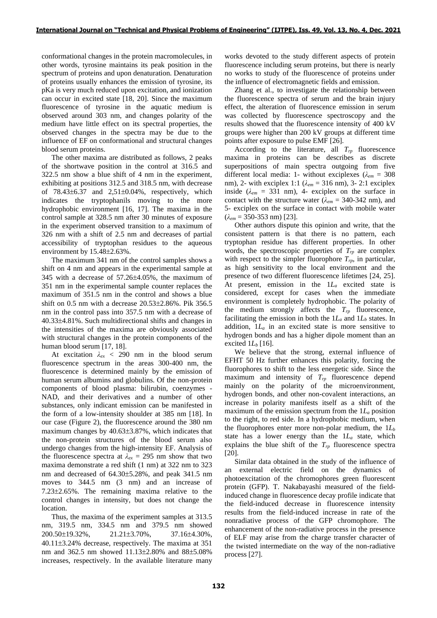conformational changes in the protein macromolecules, in other words, tyrosine maintains its peak position in the spectrum of proteins and upon denaturation. Denaturation of proteins usually enhances the emission of tyrosine, its pKa is very much reduced upon excitation, and ionization can occur in excited state [18, 20]. Since the maximum fluorescence of tyrosine in the aquatic medium is observed around 303 nm, and changes polarity of the medium have little effect on its spectral properties, the observed changes in the spectra may be due to the influence of EF on conformational and structural changes blood serum proteins.

The other maxima are distributed as follows, 2 peaks of the shortwave position in the control at 316.5 and 322.5 nm show a blue shift of 4 nm in the experiment, exhibiting at positions 312.5 and 318.5 nm, with decrease of  $78.43\pm6.37$  and  $2.51\pm0.04\%$ , respectively, which indicates the tryptophanils moving to the more hydrophobic environment [16, 17]. The maxima in the control sample at 328.5 nm after 30 minutes of exposure in the experiment observed transition to a maximum of 326 nm with a shift of 2.5 nm and decreases of partial accessibility of tryptophan residues to the aqueous environment by  $15.48\pm2.63\%$ .

The maximum 341 nm of the control samples shows a shift on 4 nm and appears in the experimental sample at 345 with a decrease of  $57.26\pm4.05\%$ , the maximum of 351 nm in the experimental sample counter replaces the maximum of 351.5 nm in the control and shows a blue shift on  $0.5$  nm with a decrease  $20.53\pm2.86\%$ . Pik 356.5 nm in the control pass into 357.5 nm with a decrease of 40.334.81%. Such multidirectional shifts and changes in the intensities of the maxima are obviously associated with structural changes in the protein components of the human blood serum [17, 18].

At excitation *λex* < 290 nm in the blood serum fluorescence spectrum in the areas 300-400 nm, the fluorescence is determined mainly by the emission of human serum albumins and globulins. Of the non-protein components of blood plasma: bilirubin, coenzymes - NAD, and their derivatives and a number of other substances, only indicant emission can be manifested in the form of a low-intensity shoulder at 385 nm [18]. In our case (Figure 2), the fluorescence around the 380 nm maximum changes by  $40.63\pm3.87\%$ , which indicates that the non-protein structures of the blood serum also undergo changes from the high-intensity EF. Analysis of the fluorescence spectra at  $\lambda_{ex} = 295$  nm show that two maxima demonstrate a red shift (1 nm) at 322 nm to 323 nm and decreased of  $64.30\pm5.28$ %, and peak 341.5 nm moves to 344.5 nm (3 nm) and an increase of  $7.23\pm2.65\%$ . The remaining maxima relative to the control changes in intensity, but does not change the location.

Thus, the maxima of the experiment samples at 313.5 nm, 319.5 nm, 334.5 nm and 379.5 nm showed 200.50±19.32%, 21.21±3.70%, 37.16±4.30%, 40.113.24% decrease, respectively. The maxima at 351 nm and 362.5 nm showed  $11.13\pm2.80\%$  and  $88\pm5.08\%$ increases, respectively. In the available literature many

works devoted to the study different aspects of protein fluorescence including serum proteins, but there is nearly no works to study of the fluorescence of proteins under the influence of electromagnetic fields and emission.

Zhang et al., to investigate the relationship between the fluorescence spectra of serum and the brain injury effect, the alteration of fluorescence emission in serum was collected by fluorescence spectroscopy and the results showed that the fluorescence intensity of 400 kV groups were higher than 200 kV groups at different time points after exposure to pulse EMF [26].

According to the literature, all *Trp* fluorescence maxima in proteins can be describes as discrete superpositions of main spectra outgoing from five different local media: 1- without exciplexes (*λem* = 308 nm), 2- with exciplex 1:1 (*λem* = 316 nm), 3- 2:1 exciplex inside ( $\lambda_{em}$  = 331 nm), 4- exciplex on the surface in contact with the structure water ( $\lambda_{em}$  = 340-342 nm), and 5- exciplex on the surface in contact with mobile water  $(\lambda_{em} = 350 - 353 \text{ nm})$  [23].

Other authors dispute this opinion and write, that the consistent pattern is that there is no pattern, each tryptophan residue has different properties. In other words, the spectroscopic properties of *Trp* are complex with respect to the simpler fluorophore  $T_{rp}$ , in particular, as high sensitivity to the local environment and the presence of two different fluorescence lifetimes [24, 25]. At present, emission in the 1*L<sup>a</sup>* excited state is considered, except for cases when the immediate environment is completely hydrophobic. The polarity of the medium strongly affects the  $T_{rp}$  fluorescence, facilitating the emission in both the  $1L_a$  and  $1L_b$  states. In addition, 1*L<sup>a</sup>* in an excited state is more sensitive to hydrogen bonds and has a higher dipole moment than an excited  $1L_b$  [16].

We believe that the strong, external influence of EFHT 50 Hz further enhances this polarity, forcing the fluorophores to shift to the less energetic side. Since the maximum and intensity of *Trp* fluorescence depend mainly on the polarity of the microenvironment, hydrogen bonds, and other non-covalent interactions, an increase in polarity manifests itself as a shift of the maximum of the emission spectrum from the 1*L<sup>a</sup>* position to the right, to red side. In a hydrophobic medium, when the fluorophores enter more non-polar medium, the 1*L<sup>b</sup>* state has a lower energy than the 1*L<sup>a</sup>* state, which explains the blue shift of the *Trp* fluorescence spectra [20].

Similar data obtained in the study of the influence of an external electric field on the dynamics of photoexcitation of the chromophores green fluorescent protein (GFP). T. Nakabayashi measured of the fieldinduced change in fluorescence decay profile indicate that the field-induced decrease in fluorescence intensity results from the field-induced increase in rate of the nonradiative process of the GFP chromophore. The enhancement of the non-radiative process in the presence of ELF may arise from the charge transfer character of the twisted intermediate on the way of the non-radiative process [27].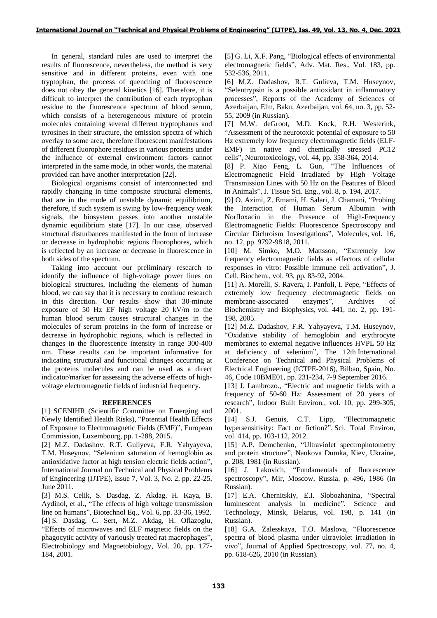In general, standard rules are used to interpret the results of fluorescence, nevertheless, the method is very sensitive and in different proteins, even with one tryptophan, the process of quenching of fluorescence does not obey the general kinetics [16]. Therefore, it is difficult to interpret the contribution of each tryptophan residue to the fluorescence spectrum of blood serum, which consists of a heterogeneous mixture of protein molecules containing several different tryptophanes and tyrosines in their structure, the emission spectra of which overlay to some area, therefore fluorescent manifestations of different fluorophore residues in various proteins under the influence of external environment factors cannot interpreted in the same mode, in other words, the material provided can have another interpretation [22].

Biological organisms consist of interconnected and rapidly changing in time composite structural elements, that are in the mode of unstable dynamic equilibrium, therefore, if such system is swing by low-frequency weak signals, the biosystem passes into another unstable dynamic equilibrium state [17]. In our case, observed structural disturbances manifested in the form of increase or decrease in hydrophobic regions fluorophores, which is reflected by an increase or decrease in fluorescence in both sides of the spectrum.

Taking into account our preliminary research to identify the influence of high-voltage power lines on biological structures, including the elements of human blood, we can say that it is necessary to continue research in this direction. Our results show that 30-minute exposure of 50 Hz EF high voltage 20 kV/m to the human blood serum causes structural changes in the molecules of serum proteins in the form of increase or decrease in hydrophobic regions, which is reflected in changes in the fluorescence intensity in range 300-400 nm. These results can be important informative for indicating structural and functional changes occurring at the proteins molecules and can be used as a direct indicator/marker for assessing the adverse effects of highvoltage electromagnetic fields of industrial frequency.

## **REFERENCES**

[1] SCENIHR (Scientific Committee on Emerging and Newly Identified Health Risks), "Potential Health Effects of Exposure to Electromagnetic Fields (EMF)", European Commission, Luxembourg, pp. 1-288, 2015.

[2] M.Z. Dadashov, R.T. Guliyeva, F.R. Yahyayeva, T.M. Huseynov, "Selenium saturation of hemoglobin as antioxidative factor at high tension electric fields action", International Journal on Technical and Physical Problems of Engineering (IJTPE), Issue 7, Vol. 3, No. 2, pp. 22-25, June 2011.

[3] M.S. Celik, S. Dasdag, Z. Akdag, H. Kaya, B. Aydinol, et al., "The effects of high voltage transmission line on humans", Biotechnol Eq., Vol. 6, pp. 33-36, 1992. [4] S. Dasdag, C. Sert, M.Z. Akdag, H. Oflazoglu, "Effects of microwaves and ELF magnetic fields on the phagocytic activity of variously treated rat macrophages", Electrobiology and Magnetobiology, Vol. 20, pp. 177- 184, 2001.

[5] G. Li, X.F. Pang, "Biological effects of environmental electromagnetic fields", Adv. Mat. Res., Vol. 183, pp. 532-536, 2011.

[6] M.Z. Dadashov, R.T. Gulieva, T.M. Huseynov, "Selentrypsin is a possible antioxidant in inflammatory processes", Reports of the Academy of Sciences of Azerbaijan, Elm, Baku, Azerbaijan, vol. 64, no. 3, pp. 52- 55, 2009 (in Russian).

[7] M.W. deGroot, M.D. Kock, R.H. Westerink, "Assessment of the neurotoxic potential of exposure to 50 Hz extremely low frequency electromagnetic fields (ELF-EMF) in native and chemically stressed PC12 cells", Neurotoxicology, vol. 44, pp. 358-364, 2014.

[8] P. Xiao Feng, L. Gun, "The Influences of Electromagnetic Field Irradiated by High Voltage Transmission Lines with 50 Hz on the Features of Blood in Animals", J. Tissue Sci. Eng., vol. 8, p. 194, 2017.

[9] O. Azimi, Z. Emami, H. Salari, J. Chamani, "Probing the Interaction of Human Serum Albumin with Norfloxacin in the Presence of High-Frequency Electromagnetic Fields: Fluorescence Spectroscopy and Circular Dichroism Investigations", Molecules, vol. 16, no. 12, pp. 9792-9818, 2011.

[10] M. Simko, M.O. Mattsson, "Extremely low frequency electromagnetic fields as effectors of cellular responses in vitro: Possible immune cell activation", J. Cell. Biochem., vol. 93, pp. 83-92, 2004.

[11] A. Morelli, S. Ravera, I. Panfoli, I. Pepe, "Effects of extremely low frequency electromagnetic fields on membrane-associated enzymes", Archives of membrane-associated enzymes", Archives of Biochemistry and Biophysics, vol. 441, no. 2, pp. 191- 198, 2005.

[12] M.Z. Dadashov, F.R. Yahyayeva, T.M. Huseynov, "Oxidative stability of hemoglobin and erythrocyte membranes to external negative influences HVPL 50 Hz at deficiency of selenium", The 12th International Conference on Technical and Physical Problems of Electrical Engineering (ICTPE-2016), Bilbao, Spain, No. 46, Code 10BME01, pp. 231-234, 7-9 September 2016.

[13] J. Lambrozo., "Electric and magnetic fields with a frequency of 50-60 Hz: Assessment of 20 years of research", Indoor Built Environ., vol. 10, pp. 299-305, 2001.

[14] S.J. Genuis, C.T. Lipp, "Electromagnetic hypersensitivity: Fact or fiction?", Sci. Total Environ, vol. 414, pp. 103-112, 2012.

[15] A.P. Demchenko, "Ultraviolet spectrophotometry and protein structure", Naukova Dumka, Kiev, Ukraine, p. 208, 1981 (in Russian).

[16] J. Lakovich, "Fundamentals of fluorescence spectroscopy", Mir, Moscow, Russia, p. 496, 1986 (in Russian).

[17] E.A. Chernitskiy, E.I. Slobozhanina, "Spectral luminescent analysis in medicine", Science and Technology, Minsk, Belarus, vol. 198, p. 141 (in Russian).

[18] G.A. Zalesskaya, T.O. Maslova, "Fluorescence spectra of blood plasma under ultraviolet irradiation in vivo", Journal of Applied Spectroscopy, vol. 77, no. 4, pp. 618-626, 2010 (in Russian).